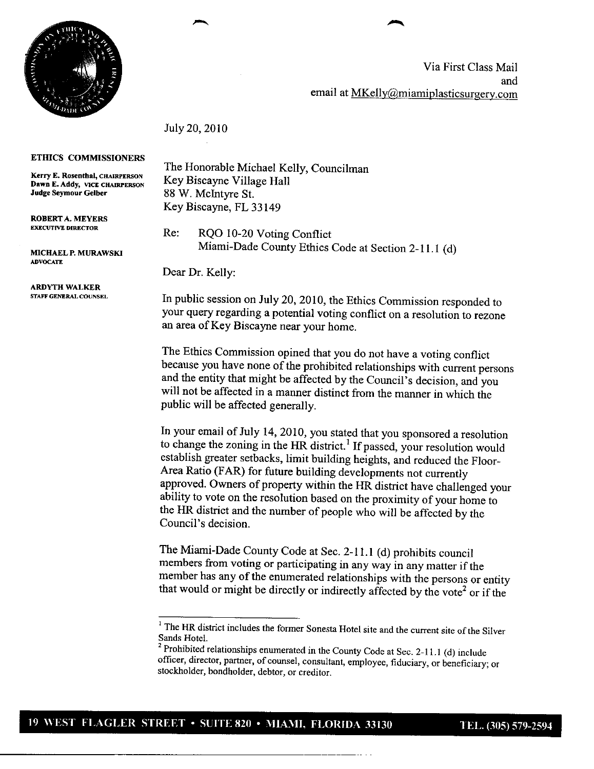

Via First Class Mail and email at MKelly@miamiplasticsurgery.com

July 20, 2010

## ETHICS COMMISSIONERS

Kerry E. Rosenthal, CHAIRPERSON Dawn E. Addy, VICE CHAIRPERSON **Judge Seymour Gelber** 88 1W. McIntyre St.

**ROBERTA. MEYERS**

**MICHAEL P. MURAWSKI** ADVOCATE

**ARDYTH WALKER**

The Honorable Michael Kelly, Councilman Key Biscayne Village Hall Key Biscayne, FL 33149

Re: RQO 10-20 Voting Conflict Miami-Dade County Ethics Code at Section 2-11.1 (d)

Dear Dr. Kelly:

In public session on July 20, 2010, the Ethics Commission responded to your query regarding a potential voting conflict on a resolution to rezone **an area of** Key Biscayne near your home.

The Ethics Commission opined that you do not have a voting conflict because you have none of the prohibited relationships with current persons and the entity that might be affected by the Council's decision, and you will not be affected in a manner distinct from the manner in which the public will be affected generally.

In your email of July 14, 2010, you stated that you sponsored a resolution to change the zoning in the HR district.' If passed, your resolution would establish greater setbacks, limit building heights, and reduced the Floor-Area Ratio (FAR) for future building developments not currently **approved. Owners of property within** the HR district have challenged your ability to vote on the resolution based on the proximity of your home to the HR district and the number of people who will be affected by the Council's decision.

The Miami-Dade County Code at Sec. 2-11.1 (d) prohibits council **members from voting or participating in** any way in any matter if the member has any of the enumerated relationships with the persons or entity that would or might be directly or indirectly affected by the vote<sup>2</sup> or if the

<sup>&</sup>lt;sup>1</sup> The HR district includes the former Sonesta Hotel site and the current site of the Silver Sands Hotel.

<sup>&</sup>lt;sup>2</sup> Prohibited relationships enumerated in the County Code at Sec.  $2-11.1$  (d) include officer, director, partner, of counsel, consultant, employee, fiduciary, or beneficiary; or stockholder, bondholder, debtor, or creditor.